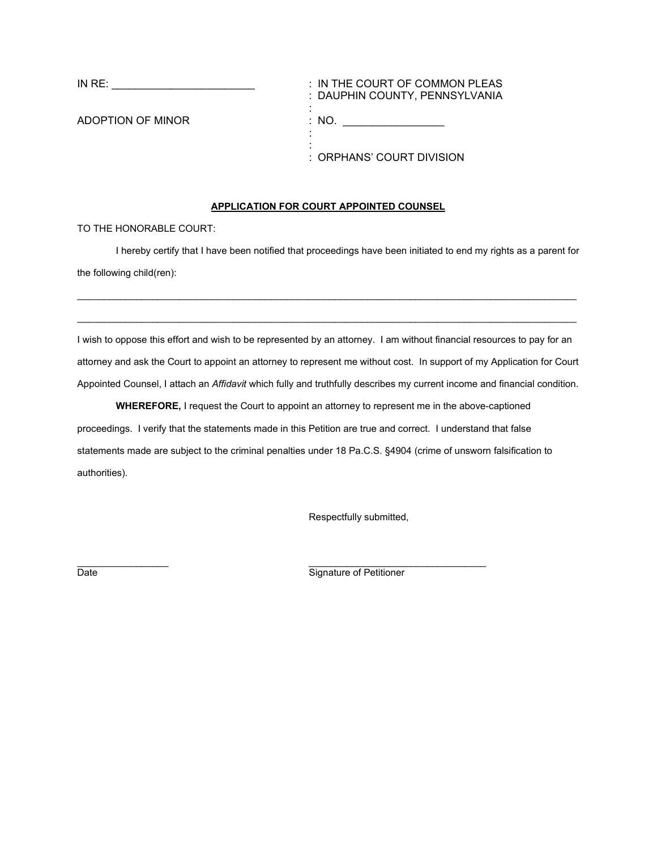IN RE:  $\frac{1}{2}$  : IN THE COURT OF COMMON PLEAS : DAUPHIN COUNTY, PENNSYLVANIA : ADOPTION OF MINOR THE RESERVE THAT THE RESERVE THAT AND STRUCK THAT AND AN INC. : : : ORPHANS' COURT DIVISION

## **APPLICATION FOR COURT APPOINTED COUNSEL**

TO THE HONORABLE COURT:

I hereby certify that I have been notified that proceedings have been initiated to end my rights as a parent for the following child(ren):

 $\mathcal{L}_\mathcal{L} = \{ \mathcal{L}_\mathcal{L} = \{ \mathcal{L}_\mathcal{L} = \{ \mathcal{L}_\mathcal{L} = \{ \mathcal{L}_\mathcal{L} = \{ \mathcal{L}_\mathcal{L} = \{ \mathcal{L}_\mathcal{L} = \{ \mathcal{L}_\mathcal{L} = \{ \mathcal{L}_\mathcal{L} = \{ \mathcal{L}_\mathcal{L} = \{ \mathcal{L}_\mathcal{L} = \{ \mathcal{L}_\mathcal{L} = \{ \mathcal{L}_\mathcal{L} = \{ \mathcal{L}_\mathcal{L} = \{ \mathcal{L}_\mathcal{$ 

 $\mathcal{L}_\mathcal{L} = \{ \mathcal{L}_\mathcal{L} = \{ \mathcal{L}_\mathcal{L} = \{ \mathcal{L}_\mathcal{L} = \{ \mathcal{L}_\mathcal{L} = \{ \mathcal{L}_\mathcal{L} = \{ \mathcal{L}_\mathcal{L} = \{ \mathcal{L}_\mathcal{L} = \{ \mathcal{L}_\mathcal{L} = \{ \mathcal{L}_\mathcal{L} = \{ \mathcal{L}_\mathcal{L} = \{ \mathcal{L}_\mathcal{L} = \{ \mathcal{L}_\mathcal{L} = \{ \mathcal{L}_\mathcal{L} = \{ \mathcal{L}_\mathcal{$ 

I wish to oppose this effort and wish to be represented by an attorney. I am without financial resources to pay for an attorney and ask the Court to appoint an attorney to represent me without cost. In support of my Application for Court Appointed Counsel, I attach an *Affidavit* which fully and truthfully describes my current income and financial condition.

**WHEREFORE,** I request the Court to appoint an attorney to represent me in the above-captioned proceedings. I verify that the statements made in this Petition are true and correct. I understand that false statements made are subject to the criminal penalties under 18 Pa.C.S. §4904 (crime of unsworn falsification to authorities).

Respectfully submitted,

 $\frac{1}{2}$  , and the contribution of  $\frac{1}{2}$  , and  $\frac{1}{2}$  , and  $\frac{1}{2}$  , and  $\frac{1}{2}$  , and  $\frac{1}{2}$  , and  $\frac{1}{2}$  , and  $\frac{1}{2}$  , and  $\frac{1}{2}$  , and  $\frac{1}{2}$  , and  $\frac{1}{2}$  , and  $\frac{1}{2}$  , and  $\frac{1}{2}$ Date **Signature of Petitioner**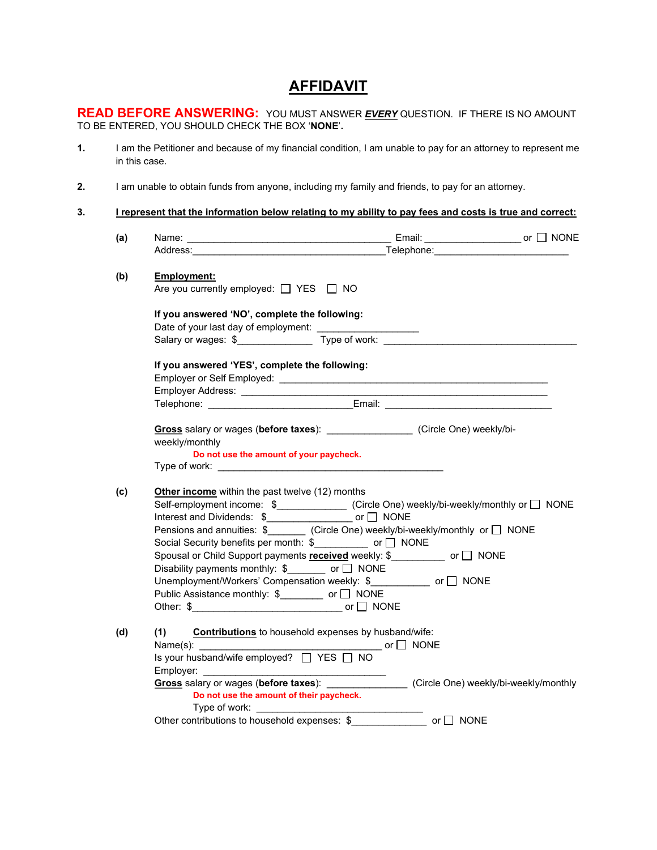## **AFFIDAVIT**

**READ BEFORE ANSWERING:** YOU MUST ANSWER *EVERY* QUESTION. IF THERE IS NO AMOUNT TO BE ENTERED, YOU SHOULD CHECK THE BOX '**NONE**'**.** 

- **1.** I am the Petitioner and because of my financial condition, I am unable to pay for an attorney to represent me in this case.
- **2.** I am unable to obtain funds from anyone, including my family and friends, to pay for an attorney.
- **3. I represent that the information below relating to my ability to pay fees and costs is true and correct:**

| (a) |                                                                                                                                                                                                                                |                                                                                                                                                                                                                                                                                                                                    |  |  |  |  |  |  |  |
|-----|--------------------------------------------------------------------------------------------------------------------------------------------------------------------------------------------------------------------------------|------------------------------------------------------------------------------------------------------------------------------------------------------------------------------------------------------------------------------------------------------------------------------------------------------------------------------------|--|--|--|--|--|--|--|
|     |                                                                                                                                                                                                                                | Address: Telephone: Telephone: Telephone: Telephone: Telephone: Telephone: Telephone: Telephone: Telephone: Telephone: Telephone: Telephone: Telephone: Telephone: Telephone: Telephone: Telephone: Telephone: Telephone: Tele                                                                                                     |  |  |  |  |  |  |  |
| (b) | Employment:<br>Are you currently employed: □ YES □ NO                                                                                                                                                                          |                                                                                                                                                                                                                                                                                                                                    |  |  |  |  |  |  |  |
|     | If you answered 'NO', complete the following:                                                                                                                                                                                  |                                                                                                                                                                                                                                                                                                                                    |  |  |  |  |  |  |  |
|     |                                                                                                                                                                                                                                |                                                                                                                                                                                                                                                                                                                                    |  |  |  |  |  |  |  |
|     | If you answered 'YES', complete the following:                                                                                                                                                                                 | Employer Address: <u>Communication of the Communication of the Communication of the Communication</u>                                                                                                                                                                                                                              |  |  |  |  |  |  |  |
|     |                                                                                                                                                                                                                                | Telephone: ________________________________Email: ______________________________                                                                                                                                                                                                                                                   |  |  |  |  |  |  |  |
|     | weekly/monthly<br>Do not use the amount of your paycheck.                                                                                                                                                                      | Gross salary or wages (before taxes): __________________(Circle One) weekly/bi-                                                                                                                                                                                                                                                    |  |  |  |  |  |  |  |
|     |                                                                                                                                                                                                                                |                                                                                                                                                                                                                                                                                                                                    |  |  |  |  |  |  |  |
| (c) | Other income within the past twelve (12) months<br>Social Security benefits per month: \$ ___________ or □ NONE<br>Disability payments monthly: $\frac{1}{2}$ or $\Box$ NONE<br>Public Assistance monthly: \$_______ or □ NONE | Self-employment income: \$______________ (Circle One) weekly/bi-weekly/monthly or □ NONE<br>Pensions and annuities: \$_______ (Circle One) weekly/bi-weekly/monthly or □ NONE<br>Spousal or Child Support payments received weekly: \$___________ or □ NONE<br>Unemployment/Workers' Compensation weekly: \$ ___________ or □ NONE |  |  |  |  |  |  |  |
| (d) | (1)<br>Do not use the amount of their paycheck.                                                                                                                                                                                | <b>Contributions</b> to household expenses by husband/wife:<br>Gross salary or wages (before taxes): Circle One) weekly/bi-weekly/monthly<br>Other contributions to household expenses: \$_____________ or □ NONE                                                                                                                  |  |  |  |  |  |  |  |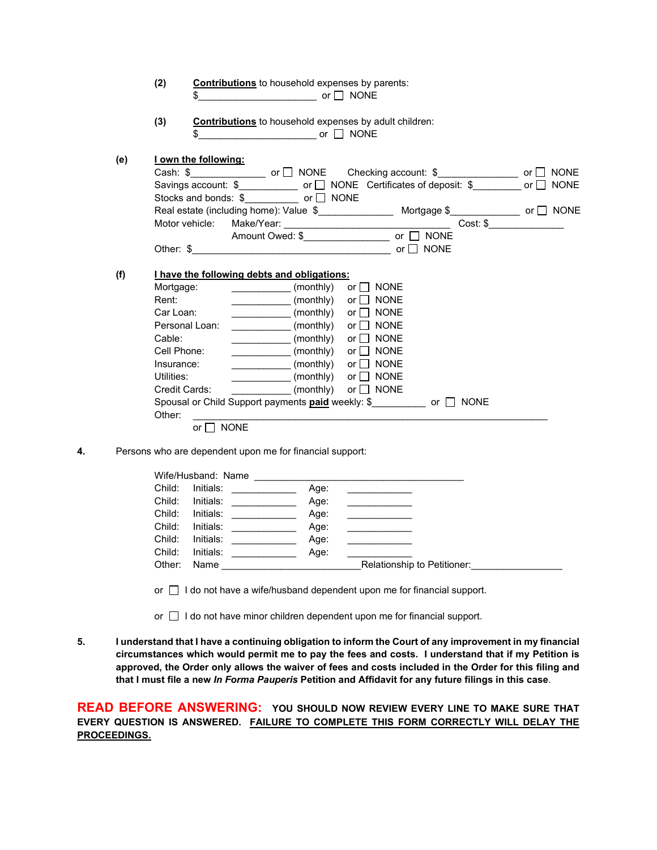|     | (2)              |                                                                                                             | <b>Contributions</b> to household expenses by parents:                                              |      |                                                |  |  |
|-----|------------------|-------------------------------------------------------------------------------------------------------------|-----------------------------------------------------------------------------------------------------|------|------------------------------------------------|--|--|
|     | (3)              |                                                                                                             | <b>Contributions</b> to household expenses by adult children:                                       |      |                                                |  |  |
| (e) |                  | I own the following:                                                                                        |                                                                                                     |      |                                                |  |  |
|     |                  |                                                                                                             | Cash: $\frac{1}{2}$ or $\Box$ NONE Checking account: $\frac{1}{2}$ or $\Box$ NONE                   |      |                                                |  |  |
|     |                  |                                                                                                             | Savings account: $\sqrt[6]{2}$ or $\Box$ NONE Certificates of deposit: $\sqrt[6]{2}$ or $\Box$ NONE |      |                                                |  |  |
|     |                  |                                                                                                             | Stocks and bonds: $\$$ or $\Box$ NONE                                                               |      |                                                |  |  |
|     |                  |                                                                                                             | Real estate (including home): Value \$___________________ Mortgage \$_____________ or □ NONE        |      |                                                |  |  |
|     |                  | Motor vehicle:                                                                                              |                                                                                                     |      |                                                |  |  |
|     |                  |                                                                                                             |                                                                                                     |      |                                                |  |  |
|     |                  |                                                                                                             |                                                                                                     |      |                                                |  |  |
|     |                  |                                                                                                             |                                                                                                     |      |                                                |  |  |
| (f) |                  |                                                                                                             | I have the following debts and obligations:                                                         |      |                                                |  |  |
|     | Mortgage:        |                                                                                                             |                                                                                                     |      | or $\Box$ NONE                                 |  |  |
|     | Rent:            |                                                                                                             |                                                                                                     |      | or $\Box$ NONE                                 |  |  |
|     | Car Loan:        |                                                                                                             | (monthly)                                                                                           |      | or $\Box$ NONE                                 |  |  |
|     |                  | Personal Loan:                                                                                              | (monthly)                                                                                           |      | or $\Box$ NONE                                 |  |  |
|     | Cable:           |                                                                                                             | (monthly)                                                                                           |      | or     NONE                                    |  |  |
|     | Cell Phone:      |                                                                                                             | (monthly)                                                                                           |      | or $\Box$ NONE                                 |  |  |
|     | Insurance:       |                                                                                                             | (monthly)                                                                                           |      | or $\Box$ NONE                                 |  |  |
|     | Utilities:       |                                                                                                             |                                                                                                     |      | or $\Box$ NONE                                 |  |  |
|     |                  | Credit Cards:                                                                                               | $\frac{1}{2}$ (monthly)                                                                             |      | or $\Box$ NONE                                 |  |  |
|     |                  |                                                                                                             | Spousal or Child Support payments <b>paid</b> weekly: \$ or □ NONE                                  |      |                                                |  |  |
|     | Other:           |                                                                                                             |                                                                                                     |      |                                                |  |  |
|     |                  | or $\Box$ NONE                                                                                              |                                                                                                     |      |                                                |  |  |
|     |                  |                                                                                                             |                                                                                                     |      |                                                |  |  |
|     |                  |                                                                                                             | Persons who are dependent upon me for financial support:                                            |      |                                                |  |  |
|     |                  |                                                                                                             | Wife/Husband: Name                                                                                  |      |                                                |  |  |
|     | Child:           | Initials:                                                                                                   | Age:                                                                                                |      |                                                |  |  |
|     | Child:           | $Initials: \begin{tabular}{ c c c } \hline \quad \quad & \quad \quad & \quad \quad \\ \hline \end{tabular}$ | Age:                                                                                                |      |                                                |  |  |
|     | Child:           | Initials:                                                                                                   |                                                                                                     | Age: | <u> Listen de la componenta</u>                |  |  |
|     | Child:           | Initials: ____________                                                                                      | Age:                                                                                                |      |                                                |  |  |
|     |                  | Initials: _____________                                                                                     | Age:                                                                                                |      | <u>and the state of the state of the state</u> |  |  |
|     |                  |                                                                                                             |                                                                                                     |      |                                                |  |  |
|     | Child:<br>Child: | Initials:                                                                                                   | Age:                                                                                                |      |                                                |  |  |

- or  $\Box$  I do not have minor children dependent upon me for financial support.
- **5. I understand that I have a continuing obligation to inform the Court of any improvement in my financial circumstances which would permit me to pay the fees and costs. I understand that if my Petition is approved, the Order only allows the waiver of fees and costs included in the Order for this filing and that I must file a new** *In Forma Pauperis* **Petition and Affidavit for any future filings in this case**.

**READ BEFORE ANSWERING: YOU SHOULD NOW REVIEW EVERY LINE TO MAKE SURE THAT EVERY QUESTION IS ANSWERED. FAILURE TO COMPLETE THIS FORM CORRECTLY WILL DELAY THE PROCEEDINGS.**